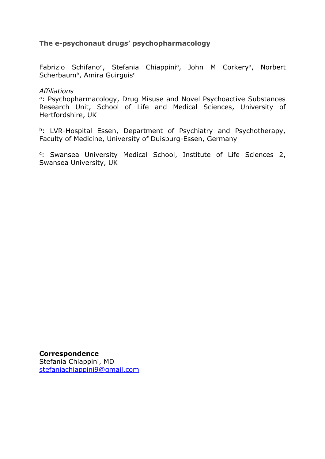# **The e-psychonaut drugs' psychopharmacology**

Fabrizio Schifano<sup>a</sup>, Stefania Chiappini<sup>a</sup>, John M Corkery<sup>a</sup>, Norbert Scherbaum<sup>b</sup>, Amira Guirguis<sup>c</sup>

## *Affiliations*

a: Psychopharmacology, Drug Misuse and Novel Psychoactive Substances Research Unit, School of Life and Medical Sciences, University of Hertfordshire, UK

b: LVR-Hospital Essen, Department of Psychiatry and Psychotherapy, Faculty of Medicine, University of Duisburg-Essen, Germany

<sup>c</sup>: Swansea University Medical School, Institute of Life Sciences 2, Swansea University, UK

**Correspondence** Stefania Chiappini, MD [stefaniachiappini9@gmail.com](mailto:stefaniachiappini9@gmail.com)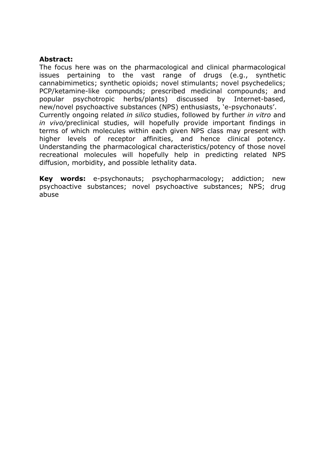#### **Abstract:**

The focus here was on the pharmacological and clinical pharmacological issues pertaining to the vast range of drugs (e.g., synthetic cannabimimetics; synthetic opioids; novel stimulants; novel psychedelics; PCP/ketamine-like compounds; prescribed medicinal compounds; and popular psychotropic herbs/plants) discussed by Internet-based, new/novel psychoactive substances (NPS) enthusiasts, 'e-psychonauts'. Currently ongoing related *in silico* studies, followed by further *in vitro* and *in vivo/*preclinical studies, will hopefully provide important findings in terms of which molecules within each given NPS class may present with higher levels of receptor affinities, and hence clinical potency. Understanding the pharmacological characteristics/potency of those novel recreational molecules will hopefully help in predicting related NPS diffusion, morbidity, and possible lethality data.

**Key words:** e-psychonauts; psychopharmacology; addiction; new psychoactive substances; novel psychoactive substances; NPS; drug abuse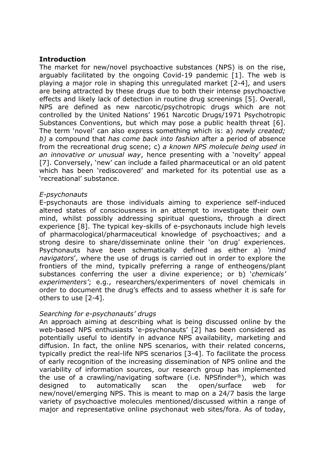## **Introduction**

The market for new/novel psychoactive substances (NPS) is on the rise, arguably facilitated by the ongoing Covid-19 pandemic [1]. The web is playing a major role in shaping this unregulated market [2-4], and users are being attracted by these drugs due to both their intense psychoactive effects and likely lack of detection in routine drug screenings [5]. Overall, NPS are defined as new narcotic/psychotropic drugs which are not controlled by the United Nations' 1961 Narcotic Drugs/1971 Psychotropic Substances Conventions, but which may pose a public health threat [6]. The term 'novel' can also express something which is: a) *newly created; b)* a compound that *has come back into fashion* after a period of absence from the recreational drug scene; c) *a known NPS molecule being used in an innovative or unusual way*, hence presenting with a 'novelty' appeal [7]. Conversely, 'new' can include a failed pharmaceutical or an old patent which has been 'rediscovered' and marketed for its potential use as a 'recreational' substance.

## *E-psychonauts*

E-psychonauts are those individuals aiming to experience self-induced altered states of consciousness in an attempt to investigate their own mind, whilst possibly addressing spiritual questions, through a direct experience [8]. The typical key-skills of e-psychonauts include high levels of pharmacological/pharmaceutical knowledge of psychoactives; and a strong desire to share/disseminate online their 'on drug' experiences. Psychonauts have been schematically defined as either a) *'mind navigators*', where the use of drugs is carried out in order to explore the frontiers of the mind, typically preferring a range of entheogens/plant substances conferring the user a divine experience; or b) '*chemicals' experimenters'*; e.g., researchers/experimenters of novel chemicals in order to document the drug's effects and to assess whether it is safe for others to use [2-4].

## *Searching for e-psychonauts' drugs*

An approach aiming at describing what is being discussed online by the web-based NPS enthusiasts 'e-psychonauts' [2] has been considered as potentially useful to identify in advance NPS availability, marketing and diffusion. In fact, the online NPS scenarios, with their related concerns, typically predict the real-life NPS scenarios [3-4]. To facilitate the process of early recognition of the increasing dissemination of NPS online and the variability of information sources, our research group has implemented the use of a crawling/navigating software (i.e. NPSfinder®), which was designed to automatically scan the open/surface web for new/novel/emerging NPS. This is meant to map on a 24/7 basis the large variety of psychoactive molecules mentioned/discussed within a range of major and representative online psychonaut web sites/fora. As of today,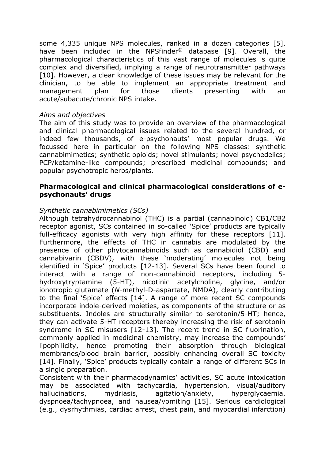some 4,335 unique NPS molecules, ranked in a dozen categories [5], have been included in the NPSfinder® database [9]. Overall, the pharmacological characteristics of this vast range of molecules is quite complex and diversified, implying a range of neurotransmitter pathways [10]. However, a clear knowledge of these issues may be relevant for the clinician, to be able to implement an appropriate treatment and management plan for those clients presenting with an acute/subacute/chronic NPS intake.

## *Aims and objectives*

The aim of this study was to provide an overview of the pharmacological and clinical pharmacological issues related to the several hundred, or indeed few thousands, of e-psychonauts' most popular drugs. We focussed here in particular on the following NPS classes: synthetic cannabimimetics; synthetic opioids; novel stimulants; novel psychedelics; PCP/ketamine-like compounds; prescribed medicinal compounds; and popular psychotropic herbs/plants.

## **Pharmacological and clinical pharmacological considerations of epsychonauts' drugs**

## *Synthetic cannabimimetics (SCs)*

Although tetrahydrocannabinol (THC) is a partial (cannabinoid) CB1/CB2 receptor agonist, SCs contained in so-called 'Spice' products are typically full-efficacy agonists with very high affinity for these receptors [11]. Furthermore, the effects of THC in cannabis are modulated by the presence of other phytocannabinoids such as cannabidiol (CBD) and cannabivarin (CBDV), with these 'moderating' molecules not being identified in 'Spice' products [12-13]. Several SCs have been found to interact with a range of non-cannabinoid receptors, including 5 hydroxytryptamine (5-HT), nicotinic acetylcholine, glycine, and/or ionotropic glutamate (*N-*methyl-D-aspartate, NMDA), clearly contributing to the final 'Spice' effects [14]. A range of more recent SC compounds incorporate indole-derived moieties, as components of the structure or as substituents. Indoles are structurally similar to serotonin/5-HT; hence, they can activate 5-HT receptors thereby increasing the risk of serotonin syndrome in SC misusers [12-13]. The recent trend in SC fluorination, commonly applied in medicinal chemistry, may increase the compounds' lipophilicity, hence promoting their absorption through biological membranes/blood brain barrier, possibly enhancing overall SC toxicity [14]. Finally, 'Spice' products typically contain a range of different SCs in a single preparation.

Consistent with their pharmacodynamics' activities, SC acute intoxication may be associated with tachycardia, hypertension, visual/auditory hallucinations, mydriasis, agitation/anxiety, hyperglycaemia, dyspnoea/tachypnoea, and nausea/vomiting [15]. Serious cardiological (e.g., dysrhythmias, cardiac arrest, chest pain, and myocardial infarction)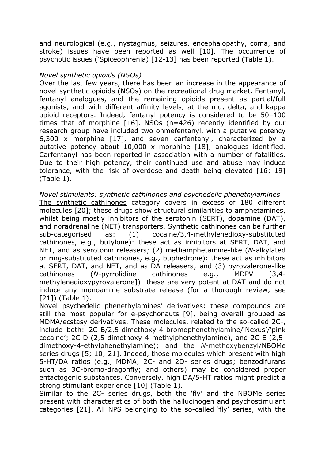and neurological (e.g., nystagmus, seizures, encephalopathy, coma, and stroke) issues have been reported as well [10]. The occurrence of psychotic issues ('Spiceophrenia) [12-13] has been reported (Table 1).

#### *Novel synthetic opioids (NSOs)*

Over the last few years, there has been an increase in the appearance of novel synthetic opioids (NSOs) on the recreational drug market. Fentanyl, fentanyl analogues, and the remaining opioids present as partial/full agonists, and with different affinity levels, at the mu, delta, and kappa opioid receptors. Indeed, fentanyl potency is considered to be 50–100 times that of morphine [16]. NSOs (n=426) recently identified by our research group have included two ohmefentanyl, with a putative potency 6,300 x morphine [17], and seven carfentanyl, characterized by a putative potency about 10,000 x morphine [18], analogues identified. Carfentanyl has been reported in association with a number of fatalities. Due to their high potency, their continued use and abuse may induce tolerance, with the risk of overdose and death being elevated [16; 19] (Table 1).

#### *Novel stimulants: synthetic cathinones and psychedelic phenethylamines*

The synthetic cathinones category covers in excess of 180 different molecules [20]; these drugs show structural similarities to amphetamines, whilst being mostly inhibitors of the serotonin (SERT), dopamine (DAT), and noradrenaline (NET) transporters. Synthetic cathinones can be further sub-categorised as: (1) cocaine/3,4-methylenedioxy-substituted cathinones, e.g., butylone): these act as inhibitors at SERT, DAT, and NET, and as serotonin releasers; (2) methamphetamine-like (*N-*alkylated or ring-substituted cathinones, e.g., buphedrone): these act as inhibitors at SERT, DAT, and NET, and as DA releasers; and (3) pyrovalerone-like cathinones (*N-*pyrrolidine cathinones e.g., MDPV [3,4 methylenedioxypyrovalerone]): these are very potent at DAT and do not induce any monoamine substrate release (for a thorough review, see [21]) (Table 1).

Novel psychedelic phenethylamines' derivatives: these compounds are still the most popular for e-psychonauts [9], being overall grouped as MDMA/ecstasy derivatives. These molecules, related to the so-called 2C-, include both: 2C-B/2,5-dimethoxy-4-bromophenethylamine/'Nexus'/'pink cocaine'; 2C-D (2,5-dimethoxy-4-methylphenethylamine), and 2C-E (2,5 dimethoxy-4-ethylphenethylamine); and the *N-*methoxybenzyl/NBOMe series drugs [5; 10; 21]. Indeed, those molecules which present with high 5-HT/DA ratios (e.g., MDMA; 2C- and 2D- series drugs; benzodifurans such as 3C-bromo-dragonfly; and others) may be considered proper entactogenic substances. Conversely, high DA/5-HT ratios might predict a strong stimulant experience [10] (Table 1).

Similar to the 2C- series drugs, both the 'fly' and the NBOMe series present with characteristics of both the hallucinogen and psychostimulant categories [21]. All NPS belonging to the so-called 'fly' series, with the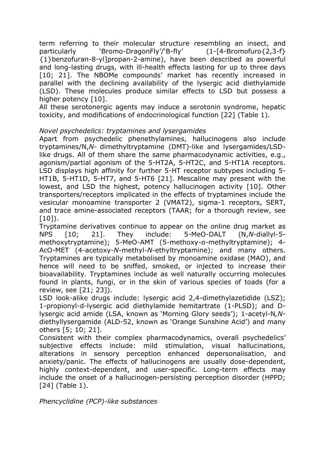term referring to their molecular structure resembling an insect, and particularly 'Bromo-DragonFly'/'B-fly' (1-[4-Bromofuro{2,3-f} {1}benzofuran-8-yl]propan-2-amine), have been described as powerful and long-lasting drugs, with ill-health effects lasting for up to three days [10; 21]. The NBOMe compounds' market has recently increased in parallel with the declining availability of the lysergic acid diethylamide (LSD). These molecules produce similar effects to LSD but possess a higher potency [10].

All these serotonergic agents may induce a serotonin syndrome, hepatic toxicity, and modifications of endocrinological function [22] (Table 1).

## *Novel psychedelics: tryptamines and lysergamides*

Apart from psychedelic phenethylamines, hallucinogens also include tryptamines/N,*N-* dimethyltryptamine (DMT)-like and lysergamides/LSDlike drugs. All of them share the same pharmacodynamic activities, e.g., agonism/partial agonism of the 5-HT2A, 5-HT2C, and 5-HT1A receptors. LSD displays high affinity for further 5-HT receptor subtypes including 5- HT1B, 5-HT1D, 5-HT7, and 5-HT6 [21]. Mescaline may present with the lowest, and LSD the highest, potency hallucinogen activity [10]. Other transporters/receptors implicated in the effects of tryptamines include the vesicular monoamine transporter 2 (VMAT2), sigma-1 receptors, SERT, and trace amine-associated receptors (TAAR; for a thorough review, see  $[10]$ .

Tryptamine derivatives continue to appear on the online drug market as NPS [10; 21]. They include: 5-MeO-DALT (N,*N-*diallyl-5 methoxytryptamine); 5-MeO-AMT (5-methoxy-α-methyltryptamine); 4- AcO-MET (4-acetoxy-*N-*methyl-*N-*ethyltryptamine); and many others. Tryptamines are typically metabolised by monoamine oxidase (MAO), and hence will need to be sniffed, smoked, or injected to increase their bioavailability. Tryptamines include as well naturally occurring molecules found in plants, fungi, or in the skin of various species of toads (for a review, see [21; 23]).

LSD look-alike drugs include: lysergic acid 2,4-dimethylazetidide (LSZ); 1-propionyl-d-lysergic acid diethylamide hemitartrate (1-PLSD); and Dlysergic acid amide (LSA, known as 'Morning Glory seeds'); 1-acetyl-N*,N*diethyllysergamide (ALD-52, known as 'Orange Sunshine Acid') and many others [5; 10; 21].

Consistent with their complex pharmacodynamics, overall psychedelics' subjective effects include: mild stimulation, visual hallucinations, alterations in sensory perception enhanced depersonalisation, and anxiety/panic. The effects of hallucinogens are usually dose-dependent, highly context-dependent, and user-specific. Long-term effects may include the onset of a hallucinogen-persisting perception disorder (HPPD; [24] (Table 1).

*Phencyclidine (PCP)-like substances*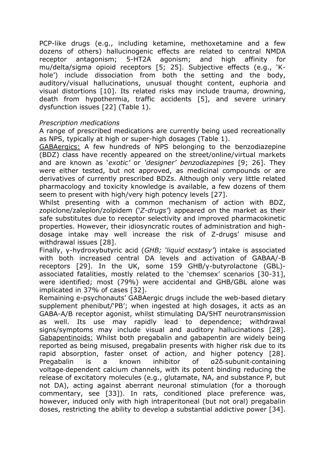PCP-like drugs (e.g., including ketamine, methoxetamine and a few dozens of others) hallucinogenic effects are related to central NMDA receptor antagonism; 5-HT2A agonism; and high affinity for mu/delta/sigma opioid receptors [5; 25]. Subjective effects (e.g., 'Khole') include dissociation from both the setting and the body, auditory/visual hallucinations, unusual thought content, euphoria and visual distortions [10]. Its related risks may include trauma, drowning, death from hypothermia, traffic accidents [5], and severe urinary dysfunction issues [22] (Table 1).

#### *Prescription medications*

A range of prescribed medications are currently being used recreationally as NPS, typically at high or super-high dosages (Table 1).

GABAergics: A few hundreds of NPS belonging to the benzodiazepine (BDZ) class have recently appeared on the street/online/virtual markets and are known as '*exotic'* or *'designer' benzodiazepines* [9; 26]. They were either tested, but not approved, as medicinal compounds or are derivatives of currently prescribed BDZs. Although only very little related pharmacology and toxicity knowledge is available, a few dozens of them seem to present with high/very high potency levels [27].

Whilst presenting with a common mechanism of action with BDZ, zopiclone/zaleplon/zolpidem ('*Z-drugs'*) appeared on the market as their safe substitutes due to receptor selectivity and improved pharmacokinetic properties. However, their idiosyncratic routes of administration and highdosage intake may well increase the risk of Z-drugs' misuse and withdrawal issues [28].

Finally, γ-hydroxybutyric acid (*GHB; 'liquid ecstasy'*) intake is associated with both increased central DA levels and activation of GABAA/-B receptors [29]. In the UK, some 159 GHB/γ-butyrolactone (GBL) associated fatalities, mostly related to the 'chemsex' scenarios [30-31], were identified; most (79%) were accidental and GHB/GBL alone was implicated in 37% of cases [32].

Remaining e-psychonauts' GABAergic drugs include the web-based dietary supplement phenibut/'PB'; when ingested at high dosages, it acts as an GABA-A/B receptor agonist, whilst stimulating DA/5HT neurotransmission as well. Its use may rapidly lead to dependence; withdrawal signs/symptoms may include visual and auditory hallucinations [28]. Gabapentinoids: Whilst both pregabalin and gabapentin are widely being reported as being misused, pregabalin presents with higher risk due to its rapid absorption, faster onset of action, and higher potency [28]. Pregabalin is a known inhibitor of α2δ‐subunit‐containing voltage‐dependent calcium channels, with its potent binding reducing the release of excitatory molecules (e.g., glutamate, NA, and substance P, but not DA), acting against aberrant neuronal stimulation (for a thorough commentary, see [33]). In rats, conditioned place preference was, however, induced only with high intraperitoneal (but not oral) pregabalin doses, restricting the ability to develop a substantial addictive power [34].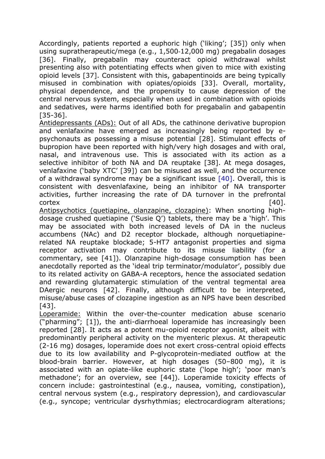Accordingly, patients reported a euphoric high ('liking'; [35]) only when using supratherapeutic/mega (e.g., 1,500‐12,000 mg) pregabalin dosages [36]. Finally, pregabalin may counteract opioid withdrawal whilst presenting also with potentiating effects when given to mice with existing opioid levels [37]. Consistent with this, gabapentinoids are being typically misused in combination with opiates/opioids [33]. Overall, mortality, physical dependence, and the propensity to cause depression of the central nervous system, especially when used in combination with opioids and sedatives, were harms identified both for pregabalin and gabapentin [35-36].

Antidepressants (ADs): Out of all ADs, the cathinone derivative bupropion and venlafaxine have emerged as increasingly being reported by epsychonauts as possessing a misuse potential [28]. Stimulant effects of bupropion have been reported with high/very high dosages and with oral, nasal, and intravenous use. This is associated with its action as a selective inhibitor of both NA and DA reuptake [38]. At mega dosages, venlafaxine ('baby XTC' [39]) can be misused as well, and the occurrence of a withdrawal syndrome may be a significant issue  $[40]$ . Overall, this is consistent with desvenlafaxine, being an inhibitor of NA transporter activities, further increasing the rate of DA turnover in the prefrontal  $\text{cortex}$  [40].

Antipsychotics (quetiapine, olanzapine, clozapine): When snorting highdosage crushed quetiapine ('Susie Q') tablets, there may be a 'high'. This may be associated with both increased levels of DA in the nucleus accumbens (NAc) and D2 receptor blockade, although norquetiapinerelated NA reuptake blockade; 5-HT7 antagonist properties and sigma receptor activation may contribute to its misuse liability (for a commentary, see [41]). Olanzapine high-dosage consumption has been anecdotally reported as the 'ideal trip terminator/modulator', possibly due to its related activity on GABA-A receptors, hence the associated sedation and rewarding glutamatergic stimulation of the ventral tegmental area DAergic neurons [42]. Finally, although difficult to be interpreted, misuse/abuse cases of clozapine ingestion as an NPS have been described [43].

Loperamide: Within the over-the-counter medication abuse scenario ("pharming"; [1]), the anti-diarrhoeal loperamide has increasingly been reported [28]. It acts as a potent mu-opioid receptor agonist, albeit with predominantly peripheral activity on the myenteric plexus. At therapeutic (2-16 mg) dosages, loperamide does not exert cross-central opioid effects due to its low availability and P-glycoprotein-mediated outflow at the blood-brain barrier. However, at high dosages (50–800 mg), it is associated with an opiate-like euphoric state ('lope high'; 'poor man's methadone'; for an overview, see [44]). Loperamide toxicity effects of concern include: gastrointestinal (e.g., nausea, vomiting, constipation), central nervous system (e.g., respiratory depression), and cardiovascular (e.g., syncope; ventricular dysrhythmias; electrocardiogram alterations;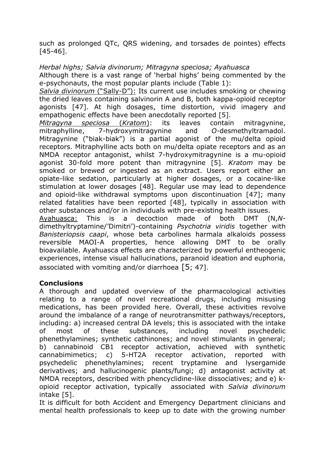such as prolonged QTc, QRS widening, and torsades de pointes) effects [45-46].

*Herbal highs; Salvia divinorum; Mitragyna speciosa; Ayahuasca*

Although there is a vast range of 'herbal highs' being commented by the e-psychonauts, the most popular plants include (Table 1):

*Salvia divinorum* ("Sally-D"): Its current use includes smoking or chewing the dried leaves containing salvinorin A and B, both kappa-opioid receptor agonists [47]. At high dosages, time distortion, vivid imagery and empathogenic effects have been anecdotally reported [5].

*Mitragyna speciosa* (*Kratom*): its leaves contain mitragynine, mitraphylline, 7-hydroxymitragynine and *O*-desmethyltramadol. Mitragynine ("biak-biak") is a partial agonist of the mu/delta opioid receptors. Mitraphylline acts both on mu/delta opiate receptors and as an NMDA receptor antagonist, whilst 7-hydroxymitragynine is a mu-opioid agonist 30-fold more potent than mitragynine [5]. *Kratom* may be smoked or brewed or ingested as an extract. Users report either an opiate-like sedation, particularly at higher dosages, or a cocaine-like stimulation at lower dosages [48]. Regular use may lead to dependence and opioid-like withdrawal symptoms upon discontinuation [47]; many related fatalities have been reported [48], typically in association with other substances and/or in individuals with pre-existing health issues.

Ayahuasca: This is a decoction made of both DMT (N,*N*dimethyltryptamine/'Dimitri')-containing *Psychotria viridis* together with *Banisteriopsis caapi*, whose beta carbolines harmala alkaloids possess reversible MAOI-A properties, hence allowing DMT to be orally bioavailable. Ayahuasca effects are characterized by powerful entheogenic experiences, intense visual hallucinations, paranoid ideation and euphoria, associated with vomiting and/or diarrhoea  $[5, 47]$ .

# **Conclusions**

A thorough and updated overview of the pharmacological activities relating to a range of novel recreational drugs, including misusing medications, has been provided here. Overall, these activities revolve around the imbalance of a range of neurotransmitter pathways/receptors, including: a) increased central DA levels; this is associated with the intake of most of these substances, including novel psychedelic phenethylamines; synthetic cathinones; and novel stimulants in general; b) cannabinoid CB1 receptor activation, achieved with synthetic cannabimimetics; c) 5-HT2A receptor activation, reported with psychedelic phenethylamines; recent tryptamine and lysergamide derivatives; and hallucinogenic plants/fungi; d) antagonist activity at NMDA receptors, described with phencyclidine-like dissociatives; and e) kopioid receptor activation, typically associated with *Salvia divinorum* intake [5].

It is difficult for both Accident and Emergency Department clinicians and mental health professionals to keep up to date with the growing number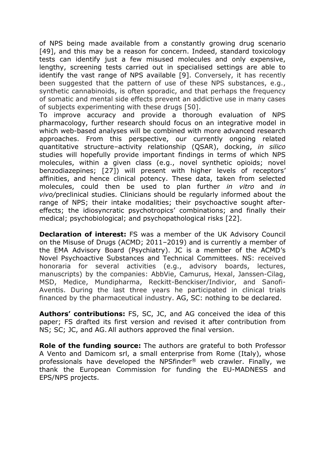of NPS being made available from a constantly growing drug scenario [49], and this may be a reason for concern. Indeed, standard toxicology tests can identify just a few misused molecules and only expensive, lengthy, screening tests carried out in specialised settings are able to identify the vast range of NPS available [9]. Conversely, it has recently been suggested that the pattern of use of these NPS substances, e.g., synthetic cannabinoids, is often sporadic, and that perhaps the frequency of somatic and mental side effects prevent an addictive use in many cases of subjects experimenting with these drugs [50].

To improve accuracy and provide a thorough evaluation of NPS pharmacology, further research should focus on an integrative model in which web-based analyses will be combined with more advanced research approaches. From this perspective, our currently ongoing related [quantitative structure](https://en.wikipedia.org/wiki/Quantitative_structure%E2%80%93activity_relationship)–activity relationship (QSAR), docking, *in silico* studies will hopefully provide important findings in terms of which NPS molecules, within a given class (e.g., novel synthetic opioids; novel benzodiazepines; [27]) will present with higher levels of receptors' affinities, and hence clinical potency. These data, taken from selected molecules, could then be used to plan further *in vitro* and *in vivo/*preclinical studies. Clinicians should be regularly informed about the range of NPS; their intake modalities; their psychoactive sought aftereffects; the idiosyncratic psychotropics' combinations; and finally their medical; psychobiological; and psychopathological risks [22].

**Declaration of interest:** FS was a member of the UK Advisory Council on the Misuse of Drugs (ACMD; 2011–2019) and is currently a member of the EMA Advisory Board (Psychiatry). JC is a member of the ACMD's Novel Psychoactive Substances and Technical Committees. NS: received honoraria for several activities (e.g., advisory boards, lectures, manuscripts) by the companies: AbbVie, Camurus, Hexal, Janssen-Cilag, MSD, Medice, Mundipharma, Reckitt-Benckiser/Indivior, and Sanofi-Aventis. During the last three years he participated in clinical trials financed by the pharmaceutical industry. AG, SC: nothing to be declared.

**Authors' contributions:** FS, SC, JC, and AG conceived the idea of this paper; FS drafted its first version and revised it after contribution from NS; SC; JC, and AG. All authors approved the final version.

**Role of the funding source:** The authors are grateful to both Professor A Vento and Damicom srl, a small enterprise from Rome (Italy), whose professionals have developed the NPSfinder® web crawler. Finally, we thank the European Commission for funding the EU-MADNESS and EPS/NPS projects.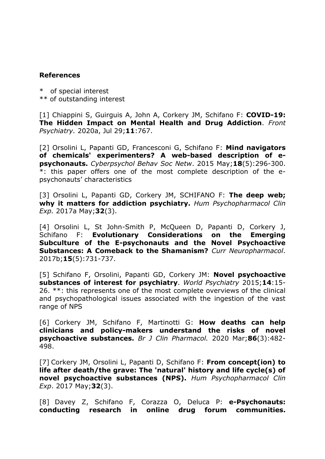## **References**

\* of special interest \*\* of outstanding interest

[1] [Chiappini S, Guirguis A, John A, Corkery JM, Schifano F:](https://pubmed.ncbi.nlm.nih.gov/32848937/) **COVID-19: The Hidden Impact on [Mental Health and Drug Addiction](https://pubmed.ncbi.nlm.nih.gov/32848937/)**. *Front Psychiatry.* 2020a, Jul 29;**11**:767.

[2] Orsolini L, Papanti GD, Francesconi G, Schifano F: **Mind navigators of chemicals' experimenters? A web-based description of epsychonauts.** *Cyberpsychol Behav Soc Netw*. 2015 May;**18**(5):296-300. \*: this paper offers one of the most complete description of the epsychonauts' characteristics

[3] Orsolini L, Papanti GD, Corkery JM, SCHIFANO F: **The deep web; why it matters for addiction psychiatry.** *Hum Psychopharmacol Clin Exp.* 2017a May;**32**(3).

[4] Orsolini L, St John-Smith P, McQueen D, Papanti D, Corkery J, Schifano F: **Evolutionary Considerations on the Emerging Subculture of the E-psychonauts and the Novel Psychoactive Substances: A Comeback to the Shamanism?** *Curr Neuropharmacol*. 2017b;**15**(5):731-737.

[5] Schifano F, Orsolini, Papanti GD, Corkery JM: **[Novel psychoactive](https://www.ncbi.nlm.nih.gov/pubmed/25655145)  [substances of interest for psychiatry](https://www.ncbi.nlm.nih.gov/pubmed/25655145)**. *World Psychiatry* 2015;**14**:15- 26. \*\*: this represents one of the most complete overviews of the clinical and psychopathological issues associated with the ingestion of the vast range of NPS

[6] Corkery JM, Schifano F, Martinotti G: **How deaths can help clinicians and policy-makers understand the risks of novel psychoactive substances.** *Br J Clin Pharmacol.* 2020 Mar;**86**(3):482- 498.

[7] Corkery JM, Orsolini L, Papanti D, Schifano F: **From concept(ion) to life after death/the grave: The 'natural' history and life cycle(s) of novel psychoactive substances (NPS).** *Hum Psychopharmacol Clin Exp*. 2017 May;**32**(3).

[8] [Davey Z, Schifano F, Corazza O, Deluca](https://pubmed.ncbi.nlm.nih.gov/22823094/) P: **e-Psychonauts: conducting [research in online drug forum communities.](https://pubmed.ncbi.nlm.nih.gov/22823094/)**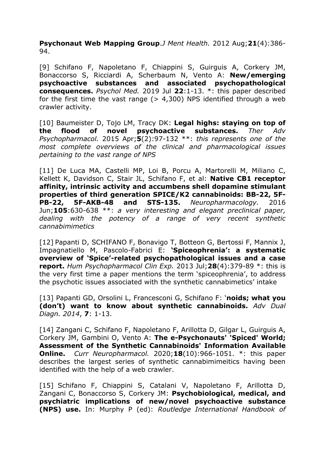**Psychonaut Web Mapping Group**.*J Ment Health.* 2012 Aug;**21**(4):386- 94.

[9] Schifano F, Napoletano F, Chiappini S, Guirguis A, Corkery JM, Bonaccorso S, Ricciardi A, Scherbaum N, Vento A: **New/emerging psychoactive substances and associated psychopathological consequences.** *Psychol Med.* 2019 Jul **22**:1-13. \*: this paper described for the first time the vast range  $(> 4,300)$  NPS identified through a web crawler activity.

[10] Baumeister D, Tojo LM, Tracy DK: **[Legal highs: staying on top of](https://www.ncbi.nlm.nih.gov/pubmed/26240749)  [the flood of novel psychoactive substances.](https://www.ncbi.nlm.nih.gov/pubmed/26240749)** *Ther Adv Psychopharmacol.* 2015 Apr;**5**(2):97-132 \*\*: *this represents one of the most complete overviews of the clinical and pharmacological issues pertaining to the vast range of NPS*

[11] De Luca MA, Castelli MP, Loi B, Porcu A, Martorelli M, Miliano C, Kellett K, Davidson C, Stair JL, Schifano F, et al: **[Native CB1 receptor](https://www.ncbi.nlm.nih.gov/pubmed/26686391)  [affinity, intrinsic activity and accumbens](https://www.ncbi.nlm.nih.gov/pubmed/26686391) shell dopamine stimulant [properties of third generation SPICE/K2 cannabinoids: BB-22, 5F-](https://www.ncbi.nlm.nih.gov/pubmed/26686391)[PB-22, 5F-AKB-48 and STS-135.](https://www.ncbi.nlm.nih.gov/pubmed/26686391)** *Neuropharmacology.* 2016 Jun;**105**:630-638 \*\*: *a very interesting and elegant preclinical paper, dealing with the potency of a range of very recent synthetic cannabimimetics*

[12] Papanti D, SCHIFANO F, Bonavigo T, Botteon G, Bertossi F, Mannix J, Impagnatiello M, Pascolo-Fabrici E: **'Spiceophrenia': a systematic overview of 'Spice'-related psychopathological issues and a case report.** *Hum Psychopharmacol Clin Exp.* 2013 Jul;**28**(4):379-89 \*: this is the very first time a paper mentions the term 'spiceophrenia', to address the psychotic issues associated with the synthetic cannabimetics' intake

[13] Papanti GD, Orsolini L, Francesconi G, Schifano F: '**noids; what you (don't) want to know about synthetic cannabinoids.** *Adv Dual Diagn. 2014*, **7**: 1-13.

[14] Zangani C, Schifano F, Napoletano F, Arillotta D, Gilgar L, Guirguis A, Corkery JM, Gambini O, Vento A: **The e-Psychonauts' 'Spiced' World; Assessment of the Synthetic Cannabinoids' Information Available Online.** *Curr Neuropharmacol.* 2020;**18**(10):966-1051. \*: this paper describes the largest series of synthetic cannabimimeitics having been identified with the help of a web crawler.

[15] Schifano F, Chiappini S, Catalani V, Napoletano F, Arillotta D, Zangani C, Bonaccorso S, Corkery JM: **Psychobiological, medical, and psychiatric implications of new/novel psychoactive substance (NPS) use.** In: Murphy P (ed): *Routledge International Handbook of*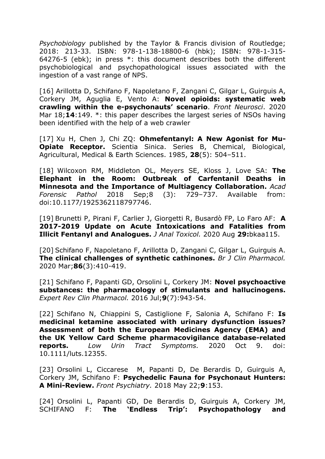*Psychobiology* published by the Taylor & Francis division of Routledge; 2018: 213-33. ISBN: 978-1-138-18800-6 (hbk); ISBN: 978-1-315- 64276-5 (ebk); in press \*: this document describes both the different psychobiological and psychopathological issues associated with the ingestion of a vast range of NPS.

[16] Arillotta D, Schifano F, Napoletano F, Zangani C, Gilgar L, Guirguis A, Corkery JM, Aguglia E, Vento A: **Novel opioids: systematic web crawling within the e-psychonauts' scenario**. *Front Neurosci*. 2020 Mar 18;**14**:149. \*: this paper describes the largest series of NSOs having been identified with the help of a web crawler

[17] Xu H, Chen J, Chi ZQ: **Ohmefentanyl: A New Agonist for Mu-Opiate Receptor.** Scientia Sinica. Series B, Chemical, Biological, Agricultural, Medical & Earth Sciences. 1985, **28**(5): 504–511.

[18] Wilcoxon RM, Middleton OL, Meyers SE, Kloss J, Love SA: **The Elephant in the Room: Outbreak of Carfentanil Deaths in Minnesota and the Importance of Multiagency Collaboration.** *Acad Forensic Pathol* 2018 Sep;8 (3): 729–737. Available from: doi:10.1177/1925362118797746.

[19] Brunetti P, Pirani F, Carlier J, Giorgetti R, Busardò FP, Lo Faro AF: **A 2017-2019 Update on Acute Intoxications and Fatalities from Illicit Fentanyl and Analogues.** *J Anal Toxicol.* 2020 Aug **29:**bkaa115.

[20] Schifano F, Napoletano F, Arillotta D, Zangani C, Gilgar L, Guirguis A. **[The clinical challenges of synthetic cathinones.](https://www.ncbi.nlm.nih.gov/pubmed/31674690)** *Br J Clin Pharmacol.* 2020 Mar;**86**(3):410-419.

[21] Schifano F, Papanti GD, Orsolini L, Corkery JM: **[Novel psychoactive](https://www.ncbi.nlm.nih.gov/pubmed/26985969)  substances: the pharmacology [of stimulants and hallucinogens.](https://www.ncbi.nlm.nih.gov/pubmed/26985969)** *Expert Rev Clin Pharmacol.* 2016 Jul;**9**(7):943-54.

[22] Schifano N, Chiappini S, Castiglione F, Salonia A, Schifano F: **Is medicinal ketamine associated with urinary dysfunction issues? Assessment of both the European Medicines Agency (EMA) and the UK Yellow Card Scheme pharmacovigilance database-related reports.** *Low Urin Tract Symptoms.* 2020 Oct 9. doi: 10.1111/luts.12355.

[23] Orsolini L, Ciccarese M, Papanti D, De Berardis D, Guirguis A, Corkery JM, Schifano F: **Psychedelic Fauna for Psychonaut Hunters: A Mini-Review.** *Front Psychiatry.* 2018 May 22;**9**:153.

[24] Orsolini L, Papanti GD, De Berardis D, Guirguis A, Corkery JM, SCHIFANO F: **The 'Endless Trip': Psychopathology and**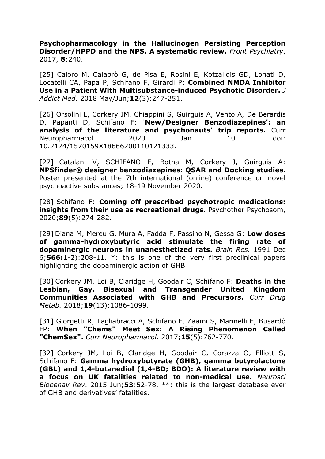**Psychopharmacology in the Hallucinogen Persisting Perception Disorder/HPPD and the NPS. A systematic review.** *Front Psychiatry*, 2017, **8**:240.

[25] [Caloro M,](https://www.ncbi.nlm.nih.gov/pubmed/?term=Caloro%20M%5BAuthor%5D&cauthor=true&cauthor_uid=29401155) [Calabrò G,](https://www.ncbi.nlm.nih.gov/pubmed/?term=Calabr%C3%B2%20G%5BAuthor%5D&cauthor=true&cauthor_uid=29401155) [de Pisa](https://www.ncbi.nlm.nih.gov/pubmed/?term=de%20Pisa%20E%5BAuthor%5D&cauthor=true&cauthor_uid=29401155) E, [Rosini E,](https://www.ncbi.nlm.nih.gov/pubmed/?term=Rosini%20E%5BAuthor%5D&cauthor=true&cauthor_uid=29401155) [Kotzalidis GD,](https://www.ncbi.nlm.nih.gov/pubmed/?term=Kotzalidis%20GD%5BAuthor%5D&cauthor=true&cauthor_uid=29401155) [Lonati D,](https://www.ncbi.nlm.nih.gov/pubmed/?term=Lonati%20D%5BAuthor%5D&cauthor=true&cauthor_uid=29401155) [Locatelli CA,](https://www.ncbi.nlm.nih.gov/pubmed/?term=Locatelli%20CA%5BAuthor%5D&cauthor=true&cauthor_uid=29401155) [Papa P,](https://www.ncbi.nlm.nih.gov/pubmed/?term=Papa%20P%5BAuthor%5D&cauthor=true&cauthor_uid=29401155) [Schifano](https://www.ncbi.nlm.nih.gov/pubmed/?term=Schifano%20F%5BAuthor%5D&cauthor=true&cauthor_uid=29401155) F, [Girardi P:](https://www.ncbi.nlm.nih.gov/pubmed/?term=Girardi%20P%5BAuthor%5D&cauthor=true&cauthor_uid=29401155) **Combined NMDA Inhibitor Use in a Patient With Multisubstance-induced Psychotic Disorder.** *[J](https://www.ncbi.nlm.nih.gov/pubmed/?term=schifano+dextromethorphan)  [Addict Med.](https://www.ncbi.nlm.nih.gov/pubmed/?term=schifano+dextromethorphan)* 2018 May/Jun;**12**(3):247-251.

[26] Orsolini L, Corkery JM, Chiappini S, Guirguis A, Vento A, De Berardis D, Papanti D, Schifano F: '**[New/Designer Benzodiazepines': an](https://www.ncbi.nlm.nih.gov/pubmed/31933443)  [analysis of the literature and psychonauts' trip reports.](https://www.ncbi.nlm.nih.gov/pubmed/31933443)** Curr Neuropharmacol 2020 Jan 10. doi: 10.2174/1570159X18666200110121333.

[27] Catalani V, SCHIFANO F, Botha M, Corkery J, Guirguis A: **NPSfinder® designer benzodiazepines: QSAR and Docking studies.** Poster presented at the 7th international (online) conference on novel psychoactive substances; 18-19 November 2020.

[28] Schifano F: **Coming off prescribed psychotropic medications: insights from their use as recreational drugs.** Psychother Psychosom, 2020;**89**(5):274-282.

[29] Diana M, Mereu G, Mura A, Fadda F, Passino N, Gessa G: **Low doses of gamma-hydroxybutyric acid stimulate the firing rate of dopaminergic neurons in unanesthetized rats.** *Brain Res.* 1991 Dec 6;**566**(1-2):208-11. \*: this is one of the very first preclinical papers highlighting the dopaminergic action of GHB

[30] Corkery JM, Loi B, Claridge H, Goodair C, Schifano F: **Deaths in the Lesbian, Gay, Bisexual and Transgender United Kingdom Communities Associated with GHB and Precursors.** *Curr Drug Metab.* 2018;**19**(13):1086-1099.

[31] Giorgetti R, Tagliabracci A, Schifano F, Zaami S, Marinelli E, Busardò FP: **When "Chems" Meet Sex: A [Rising Phenomenon Called](https://www.ncbi.nlm.nih.gov/pubmed/27855594)  ["ChemSex".](https://www.ncbi.nlm.nih.gov/pubmed/27855594)** *Curr Neuropharmacol.* 2017;**15**(5):762-770.

[32] Corkery JM, Loi B, Claridge H, Goodair C, Corazza O, Elliott S, Schifano F: **Gamma hydroxybutyrate (GHB), gamma butyrolactone (GBL) and 1,4-butanediol (1,4-BD; BDO): A literature review with a focus on UK fatalities related to non-medical use.** *Neurosci Biobehav Rev*. 2015 Jun;**53**:52-78. \*\*: this is the largest database ever of GHB and derivatives' fatalities.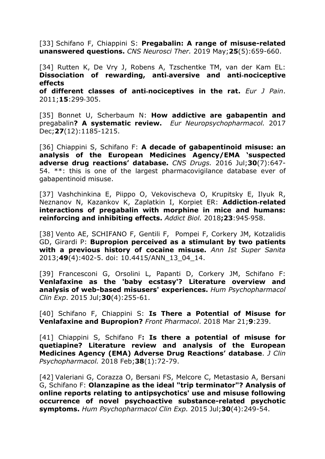[33] Schifano F, Chiappini S: **Pregabalin: A range of misuse-related unanswered questions.** *CNS Neurosci Ther.* 2019 May;**25**(5):659-660.

[34] Rutten K, De Vry J, Robens A, Tzschentke TM, van der Kam EL: **Dissociation of rewarding, anti**‐**aversive and anti**‐**nociceptive effects**

**of different classes of anti**‐**nociceptives in the rat.** *Eur J Pain*. 2011;**15**:299‐305.

[35] Bonnet U, Scherbaum N: **[How addictive are gabapentin and](https://pubmed.ncbi.nlm.nih.gov/28988943/)**  pregabalin**? A [systematic review.](https://pubmed.ncbi.nlm.nih.gov/28988943/)** *Eur Neuropsychopharmacol.* 2017 Dec;**27**(12):1185-1215.

[36] Chiappini S, Schifano F: **A decade of gabapentinoid misuse: an analysis of the European Medicines Agency/EMA 'suspected adverse drug reactions' database.** *CNS Drugs.* 2016 Jul;**30**(7):647- 54. \*\*: this is one of the largest pharmacovigilance database ever of gabapentinoid misuse.

[37] Vashchinkina E, Piippo O, Vekovischeva O, Krupitsky E, Ilyuk R, Neznanov N, Kazankov K, Zaplatkin I, Korpiet ER: **Addiction**‐**related interactions of pregabalin with morphine in mice and humans: reinforcing and inhibiting effects.** *Addict Biol.* 2018**;23**:945‐958.

[38] Vento AE, SCHIFANO F, Gentili F, Pompei F, Corkery JM, Kotzalidis GD, Girardi P: **Bupropion perceived as a stimulant by two patients with a previous history of cocaine misuse.** *Ann Ist Super Sanita* 2013;**49**(4):402-5. doi: 10.4415/ANN\_13\_04\_14.

[39] Francesconi G, Orsolini L, Papanti D, Corkery JM, Schifano F: **[Venlafaxine as the 'baby ecstasy'? Literature overview and](https://www.ncbi.nlm.nih.gov/pubmed/26216559)  [analysis of web-based misusers' experiences.](https://www.ncbi.nlm.nih.gov/pubmed/26216559)** *Hum Psychopharmacol Clin Exp*. 2015 Jul;**30**(4):255-61.

[40] Schifano F, Chiappini S: **[Is There a Potential of Misuse for](https://www.ncbi.nlm.nih.gov/pubmed/29618978)  Venlafaxine [and Bupropion?](https://www.ncbi.nlm.nih.gov/pubmed/29618978)** *Front Pharmacol*. 2018 Mar 21;**9**:239.

[41] Chiappini S, Schifano F**: Is there a potential of misuse for quetiapine? Literature review and analysis of the European Medicines Agency (EMA) Adverse Drug Reactions' database**. *J Clin Psychopharmacol.* 2018 Feb;**38**(1):72-79.

[42] Valeriani G, Corazza O, Bersani FS, Melcore C, Metastasio A, Bersani G, Schifano F: **Olanzapine as the ideal "trip terminator"? Analysis of online reports relating to antipsychotics' use and misuse following occurrence of novel psychoactive substance-related psychotic symptoms.** *Hum Psychopharmacol Clin Exp.* 2015 Jul;**30**(4):249-54.